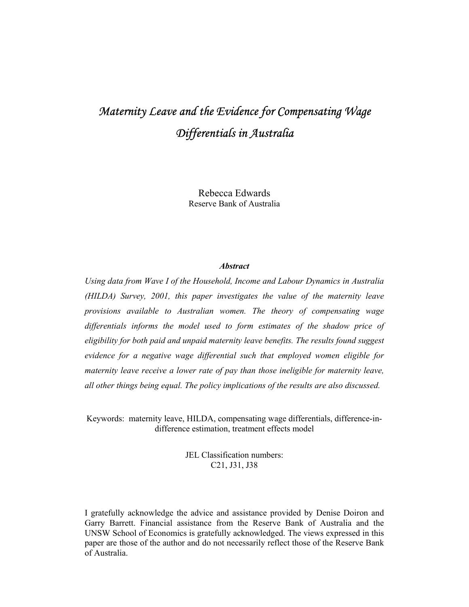# *Maternity Leave and the Evidence for Compensating Wage Differentials in Australia*

Rebecca Edwards Reserve Bank of Australia

### *Abstract*

*Using data from Wave I of the Household, Income and Labour Dynamics in Australia (HILDA) Survey, 2001, this paper investigates the value of the maternity leave provisions available to Australian women. The theory of compensating wage differentials informs the model used to form estimates of the shadow price of eligibility for both paid and unpaid maternity leave benefits. The results found suggest evidence for a negative wage differential such that employed women eligible for maternity leave receive a lower rate of pay than those ineligible for maternity leave, all other things being equal. The policy implications of the results are also discussed.* 

Keywords: maternity leave, HILDA, compensating wage differentials, difference-indifference estimation, treatment effects model

> JEL Classification numbers: C21, J31, J38

I gratefully acknowledge the advice and assistance provided by Denise Doiron and Garry Barrett. Financial assistance from the Reserve Bank of Australia and the UNSW School of Economics is gratefully acknowledged. The views expressed in this paper are those of the author and do not necessarily reflect those of the Reserve Bank of Australia.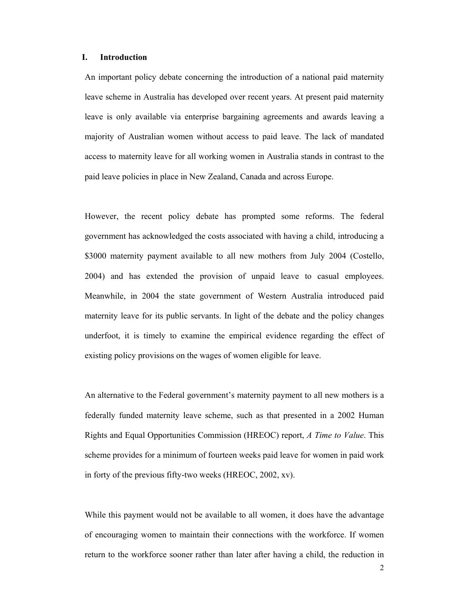#### **I. Introduction**

An important policy debate concerning the introduction of a national paid maternity leave scheme in Australia has developed over recent years. At present paid maternity leave is only available via enterprise bargaining agreements and awards leaving a majority of Australian women without access to paid leave. The lack of mandated access to maternity leave for all working women in Australia stands in contrast to the paid leave policies in place in New Zealand, Canada and across Europe.

However, the recent policy debate has prompted some reforms. The federal government has acknowledged the costs associated with having a child, introducing a \$3000 maternity payment available to all new mothers from July 2004 (Costello, 2004) and has extended the provision of unpaid leave to casual employees. Meanwhile, in 2004 the state government of Western Australia introduced paid maternity leave for its public servants. In light of the debate and the policy changes underfoot, it is timely to examine the empirical evidence regarding the effect of existing policy provisions on the wages of women eligible for leave.

An alternative to the Federal government's maternity payment to all new mothers is a federally funded maternity leave scheme, such as that presented in a 2002 Human Rights and Equal Opportunities Commission (HREOC) report, *A Time to Value*. This scheme provides for a minimum of fourteen weeks paid leave for women in paid work in forty of the previous fifty-two weeks (HREOC, 2002, xv).

While this payment would not be available to all women, it does have the advantage of encouraging women to maintain their connections with the workforce. If women return to the workforce sooner rather than later after having a child, the reduction in

2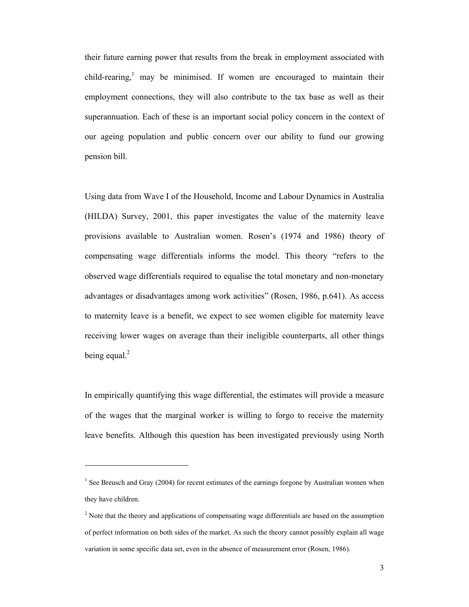their future earning power that results from the break in employment associated with child-rearing,<sup>1</sup> may be minimised. If women are encouraged to maintain their employment connections, they will also contribute to the tax base as well as their superannuation. Each of these is an important social policy concern in the context of our ageing population and public concern over our ability to fund our growing pension bill.

Using data from Wave I of the Household, Income and Labour Dynamics in Australia (HILDA) Survey, 2001, this paper investigates the value of the maternity leave provisions available to Australian women. Rosen's (1974 and 1986) theory of compensating wage differentials informs the model. This theory "refers to the observed wage differentials required to equalise the total monetary and non-monetary advantages or disadvantages among work activities" (Rosen, 1986, p.641). As access to maternity leave is a benefit, we expect to see women eligible for maternity leave receiving lower wages on average than their ineligible counterparts, all other things being equal. $^{2}$ 

In empirically quantifying this wage differential, the estimates will provide a measure of the wages that the marginal worker is willing to forgo to receive the maternity leave benefits. Although this question has been investigated previously using North

l

<sup>&</sup>lt;sup>1</sup> See Breusch and Gray (2004) for recent estimates of the earnings forgone by Australian women when they have children.

 $2^{2}$  Note that the theory and applications of compensating wage differentials are based on the assumption of perfect information on both sides of the market. As such the theory cannot possibly explain all wage variation in some specific data set, even in the absence of measurement error (Rosen, 1986).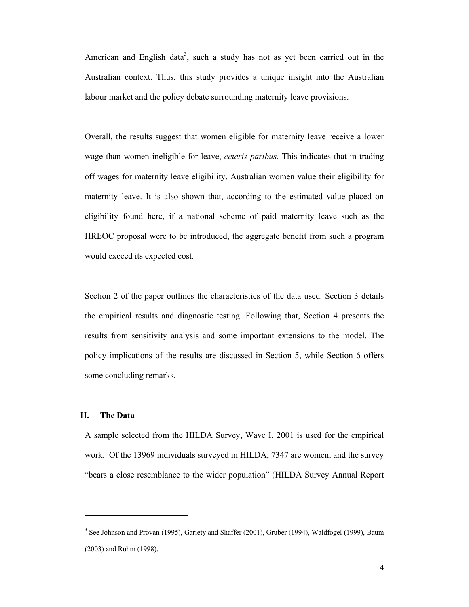American and English data<sup>3</sup>, such a study has not as yet been carried out in the Australian context. Thus, this study provides a unique insight into the Australian labour market and the policy debate surrounding maternity leave provisions.

Overall, the results suggest that women eligible for maternity leave receive a lower wage than women ineligible for leave, *ceteris paribus*. This indicates that in trading off wages for maternity leave eligibility, Australian women value their eligibility for maternity leave. It is also shown that, according to the estimated value placed on eligibility found here, if a national scheme of paid maternity leave such as the HREOC proposal were to be introduced, the aggregate benefit from such a program would exceed its expected cost.

Section 2 of the paper outlines the characteristics of the data used. Section 3 details the empirical results and diagnostic testing. Following that, Section 4 presents the results from sensitivity analysis and some important extensions to the model. The policy implications of the results are discussed in Section 5, while Section 6 offers some concluding remarks.

#### **II. The Data**

 $\overline{a}$ 

A sample selected from the HILDA Survey, Wave I, 2001 is used for the empirical work. Of the 13969 individuals surveyed in HILDA, 7347 are women, and the survey "bears a close resemblance to the wider population" (HILDA Survey Annual Report

<sup>&</sup>lt;sup>3</sup> See Johnson and Provan (1995), Gariety and Shaffer (2001), Gruber (1994), Waldfogel (1999), Baum (2003) and Ruhm (1998).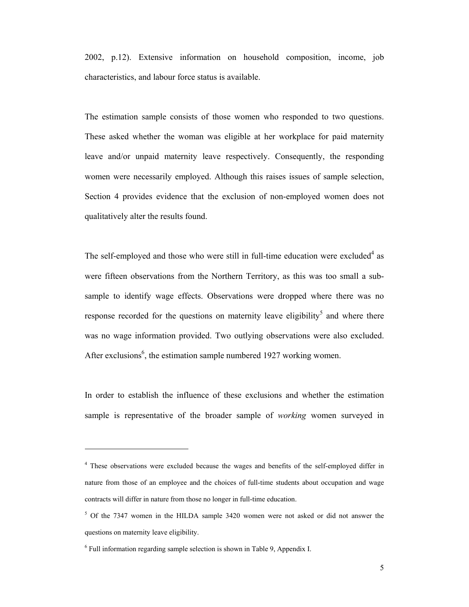2002, p.12). Extensive information on household composition, income, job characteristics, and labour force status is available.

The estimation sample consists of those women who responded to two questions. These asked whether the woman was eligible at her workplace for paid maternity leave and/or unpaid maternity leave respectively. Consequently, the responding women were necessarily employed. Although this raises issues of sample selection, Section 4 provides evidence that the exclusion of non-employed women does not qualitatively alter the results found.

The self-employed and those who were still in full-time education were excluded<sup>4</sup> as were fifteen observations from the Northern Territory, as this was too small a subsample to identify wage effects. Observations were dropped where there was no response recorded for the questions on maternity leave eligibility<sup>5</sup> and where there was no wage information provided. Two outlying observations were also excluded. After exclusions<sup>6</sup>, the estimation sample numbered 1927 working women.

In order to establish the influence of these exclusions and whether the estimation sample is representative of the broader sample of *working* women surveyed in

<sup>&</sup>lt;sup>4</sup> These observations were excluded because the wages and benefits of the self-employed differ in nature from those of an employee and the choices of full-time students about occupation and wage contracts will differ in nature from those no longer in full-time education.

<sup>&</sup>lt;sup>5</sup> Of the 7347 women in the HILDA sample 3420 women were not asked or did not answer the questions on maternity leave eligibility.

<sup>&</sup>lt;sup>6</sup> Full information regarding sample selection is shown in Table 9, Appendix I.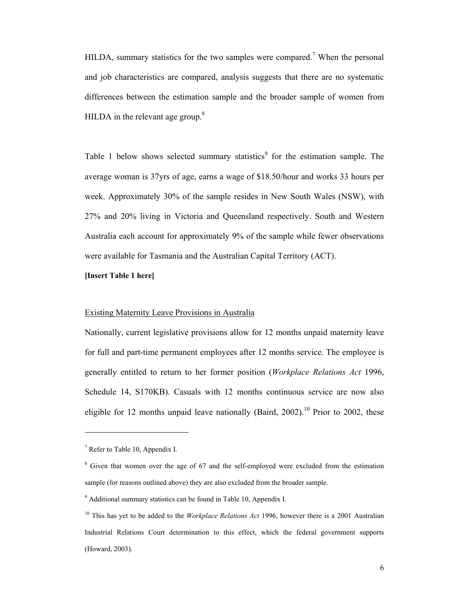HILDA, summary statistics for the two samples were compared.<sup>7</sup> When the personal and job characteristics are compared, analysis suggests that there are no systematic differences between the estimation sample and the broader sample of women from HILDA in the relevant age group. $8$ 

Table 1 below shows selected summary statistics<sup>9</sup> for the estimation sample. The average woman is 37yrs of age, earns a wage of \$18.50/hour and works 33 hours per week. Approximately 30% of the sample resides in New South Wales (NSW), with 27% and 20% living in Victoria and Queensland respectively. South and Western Australia each account for approximately 9% of the sample while fewer observations were available for Tasmania and the Australian Capital Territory (ACT).

#### **[Insert Table 1 here]**

#### Existing Maternity Leave Provisions in Australia

Nationally, current legislative provisions allow for 12 months unpaid maternity leave for full and part-time permanent employees after 12 months service. The employee is generally entitled to return to her former position (*Workplace Relations Act* 1996, Schedule 14, S170KB). Casuals with 12 months continuous service are now also eligible for 12 months unpaid leave nationally (Baird, 2002).<sup>10</sup> Prior to 2002, these

 $<sup>7</sup>$  Refer to Table 10, Appendix I.</sup>

<sup>&</sup>lt;sup>8</sup> Given that women over the age of 67 and the self-employed were excluded from the estimation sample (for reasons outlined above) they are also excluded from the broader sample.

<sup>&</sup>lt;sup>9</sup> Additional summary statistics can be found in Table 10, Appendix I.

<sup>&</sup>lt;sup>10</sup> This has yet to be added to the *Workplace Relations Act* 1996, however there is a 2001 Australian Industrial Relations Court determination to this effect, which the federal government supports (Howard, 2003).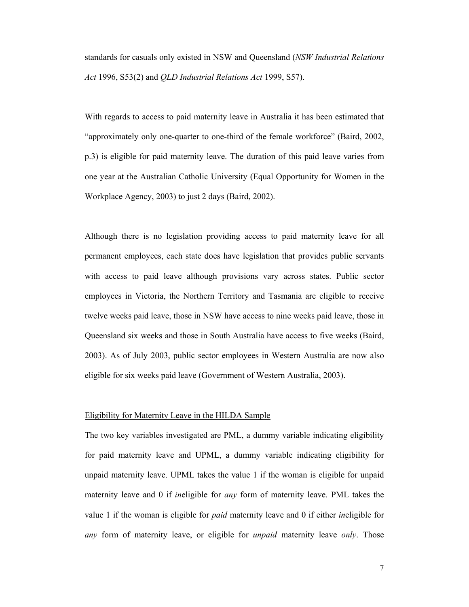standards for casuals only existed in NSW and Queensland (*NSW Industrial Relations Act* 1996, S53(2) and *QLD Industrial Relations Act* 1999, S57).

With regards to access to paid maternity leave in Australia it has been estimated that "approximately only one-quarter to one-third of the female workforce" (Baird, 2002, p.3) is eligible for paid maternity leave. The duration of this paid leave varies from one year at the Australian Catholic University (Equal Opportunity for Women in the Workplace Agency, 2003) to just 2 days (Baird, 2002).

Although there is no legislation providing access to paid maternity leave for all permanent employees, each state does have legislation that provides public servants with access to paid leave although provisions vary across states. Public sector employees in Victoria, the Northern Territory and Tasmania are eligible to receive twelve weeks paid leave, those in NSW have access to nine weeks paid leave, those in Queensland six weeks and those in South Australia have access to five weeks (Baird, 2003). As of July 2003, public sector employees in Western Australia are now also eligible for six weeks paid leave (Government of Western Australia, 2003).

#### Eligibility for Maternity Leave in the HILDA Sample

The two key variables investigated are PML, a dummy variable indicating eligibility for paid maternity leave and UPML, a dummy variable indicating eligibility for unpaid maternity leave. UPML takes the value 1 if the woman is eligible for unpaid maternity leave and 0 if *in*eligible for *any* form of maternity leave. PML takes the value 1 if the woman is eligible for *paid* maternity leave and 0 if either *in*eligible for *any* form of maternity leave, or eligible for *unpaid* maternity leave *only*. Those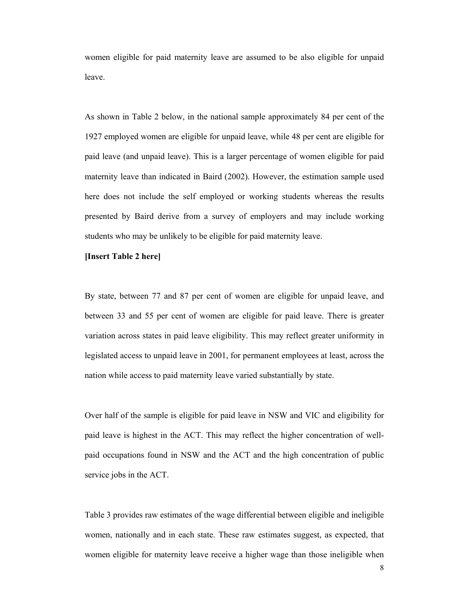women eligible for paid maternity leave are assumed to be also eligible for unpaid leave.

As shown in Table 2 below, in the national sample approximately 84 per cent of the 1927 employed women are eligible for unpaid leave, while 48 per cent are eligible for paid leave (and unpaid leave). This is a larger percentage of women eligible for paid maternity leave than indicated in Baird (2002). However, the estimation sample used here does not include the self employed or working students whereas the results presented by Baird derive from a survey of employers and may include working students who may be unlikely to be eligible for paid maternity leave.

#### **[Insert Table 2 here]**

By state, between 77 and 87 per cent of women are eligible for unpaid leave, and between 33 and 55 per cent of women are eligible for paid leave. There is greater variation across states in paid leave eligibility. This may reflect greater uniformity in legislated access to unpaid leave in 2001, for permanent employees at least, across the nation while access to paid maternity leave varied substantially by state.

Over half of the sample is eligible for paid leave in NSW and VIC and eligibility for paid leave is highest in the ACT. This may reflect the higher concentration of wellpaid occupations found in NSW and the ACT and the high concentration of public service jobs in the ACT.

Table 3 provides raw estimates of the wage differential between eligible and ineligible women, nationally and in each state. These raw estimates suggest, as expected, that women eligible for maternity leave receive a higher wage than those ineligible when

8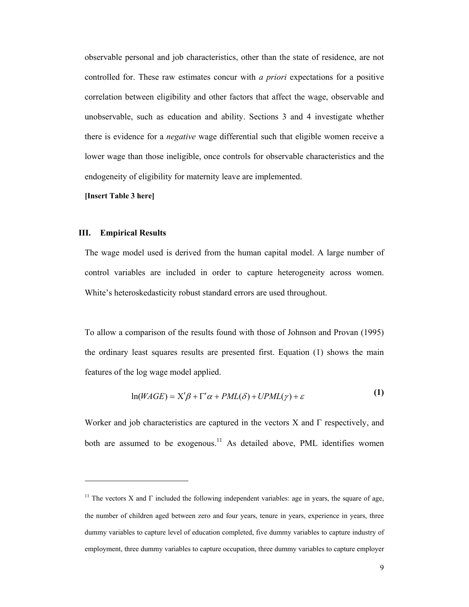observable personal and job characteristics, other than the state of residence, are not controlled for. These raw estimates concur with *a priori* expectations for a positive correlation between eligibility and other factors that affect the wage, observable and unobservable, such as education and ability. Sections 3 and 4 investigate whether there is evidence for a *negative* wage differential such that eligible women receive a lower wage than those ineligible, once controls for observable characteristics and the endogeneity of eligibility for maternity leave are implemented.

**[Insert Table 3 here]** 

#### **III. Empirical Results**

l

The wage model used is derived from the human capital model. A large number of control variables are included in order to capture heterogeneity across women. White's heteroskedasticity robust standard errors are used throughout.

To allow a comparison of the results found with those of Johnson and Provan (1995) the ordinary least squares results are presented first. Equation (1) shows the main features of the log wage model applied.

$$
\ln(WAGE) = X'\beta + \Gamma'\alpha + PML(\delta) + UPML(\gamma) + \varepsilon
$$
 (1)

Worker and job characteristics are captured in the vectors X and  $\Gamma$  respectively, and both are assumed to be exogenous.<sup>11</sup> As detailed above, PML identifies women

<sup>&</sup>lt;sup>11</sup> The vectors X and  $\Gamma$  included the following independent variables: age in years, the square of age, the number of children aged between zero and four years, tenure in years, experience in years, three dummy variables to capture level of education completed, five dummy variables to capture industry of employment, three dummy variables to capture occupation, three dummy variables to capture employer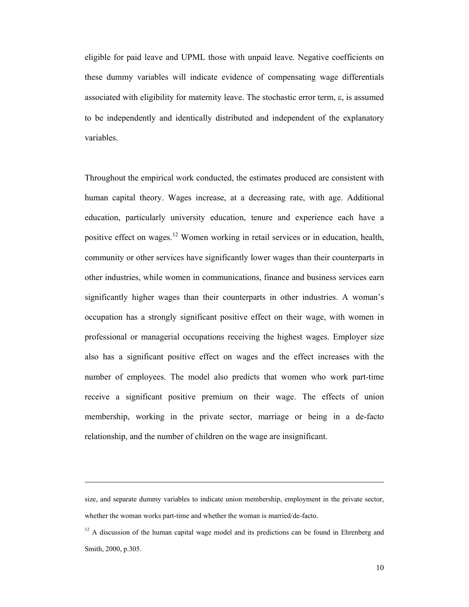eligible for paid leave and UPML those with unpaid leave. Negative coefficients on these dummy variables will indicate evidence of compensating wage differentials associated with eligibility for maternity leave. The stochastic error term,  $\varepsilon$ , is assumed to be independently and identically distributed and independent of the explanatory variables.

Throughout the empirical work conducted, the estimates produced are consistent with human capital theory. Wages increase, at a decreasing rate, with age. Additional education, particularly university education, tenure and experience each have a positive effect on wages.12 Women working in retail services or in education, health, community or other services have significantly lower wages than their counterparts in other industries, while women in communications, finance and business services earn significantly higher wages than their counterparts in other industries. A woman's occupation has a strongly significant positive effect on their wage, with women in professional or managerial occupations receiving the highest wages. Employer size also has a significant positive effect on wages and the effect increases with the number of employees. The model also predicts that women who work part-time receive a significant positive premium on their wage. The effects of union membership, working in the private sector, marriage or being in a de-facto relationship, and the number of children on the wage are insignificant.

size, and separate dummy variables to indicate union membership, employment in the private sector, whether the woman works part-time and whether the woman is married/de-facto.

<sup>&</sup>lt;sup>12</sup> A discussion of the human capital wage model and its predictions can be found in Ehrenberg and Smith, 2000, p.305.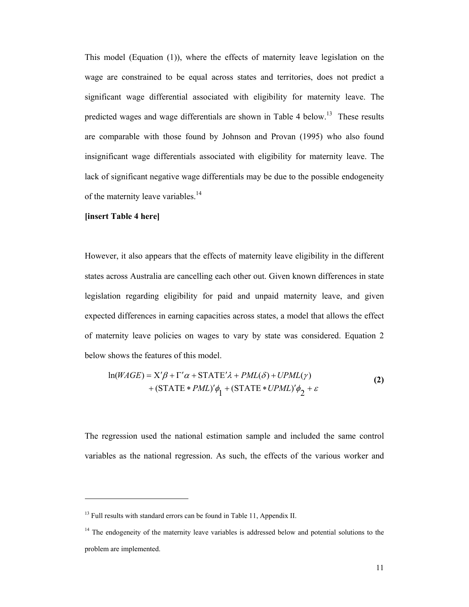This model (Equation (1)), where the effects of maternity leave legislation on the wage are constrained to be equal across states and territories, does not predict a significant wage differential associated with eligibility for maternity leave. The predicted wages and wage differentials are shown in Table 4 below.<sup>13</sup> These results are comparable with those found by Johnson and Provan (1995) who also found insignificant wage differentials associated with eligibility for maternity leave. The lack of significant negative wage differentials may be due to the possible endogeneity of the maternity leave variables.<sup>14</sup>

#### **[insert Table 4 here]**

 $\overline{a}$ 

However, it also appears that the effects of maternity leave eligibility in the different states across Australia are cancelling each other out. Given known differences in state legislation regarding eligibility for paid and unpaid maternity leave, and given expected differences in earning capacities across states, a model that allows the effect of maternity leave policies on wages to vary by state was considered. Equation 2 below shows the features of this model.

$$
\ln(WAGE) = X'\beta + \Gamma'\alpha + \text{STATE'}\lambda + \text{PML}(\delta) + \text{UPML}(\gamma) + (\text{STATE} * \text{PML})'\phi_1 + (\text{STATE} * \text{UPML})'\phi_2 + \varepsilon
$$
 (2)

The regression used the national estimation sample and included the same control variables as the national regression. As such, the effects of the various worker and

<sup>&</sup>lt;sup>13</sup> Full results with standard errors can be found in Table 11, Appendix II.

<sup>&</sup>lt;sup>14</sup> The endogeneity of the maternity leave variables is addressed below and potential solutions to the problem are implemented.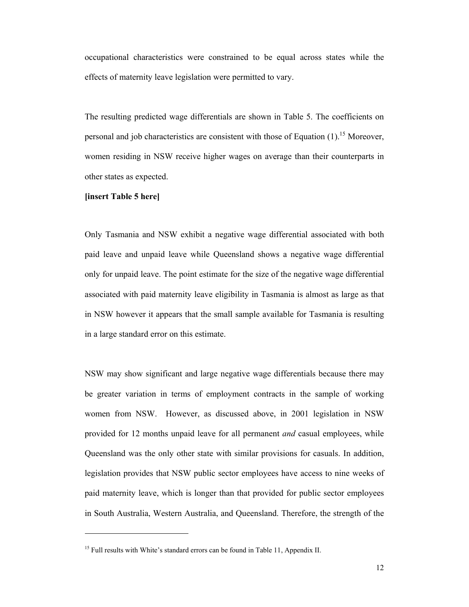occupational characteristics were constrained to be equal across states while the effects of maternity leave legislation were permitted to vary.

The resulting predicted wage differentials are shown in Table 5. The coefficients on personal and job characteristics are consistent with those of Equation  $(1)$ .<sup>15</sup> Moreover, women residing in NSW receive higher wages on average than their counterparts in other states as expected.

#### **[insert Table 5 here]**

 $\overline{a}$ 

Only Tasmania and NSW exhibit a negative wage differential associated with both paid leave and unpaid leave while Queensland shows a negative wage differential only for unpaid leave. The point estimate for the size of the negative wage differential associated with paid maternity leave eligibility in Tasmania is almost as large as that in NSW however it appears that the small sample available for Tasmania is resulting in a large standard error on this estimate.

NSW may show significant and large negative wage differentials because there may be greater variation in terms of employment contracts in the sample of working women from NSW. However, as discussed above, in 2001 legislation in NSW provided for 12 months unpaid leave for all permanent *and* casual employees, while Queensland was the only other state with similar provisions for casuals. In addition, legislation provides that NSW public sector employees have access to nine weeks of paid maternity leave, which is longer than that provided for public sector employees in South Australia, Western Australia, and Queensland. Therefore, the strength of the

<sup>&</sup>lt;sup>15</sup> Full results with White's standard errors can be found in Table 11, Appendix II.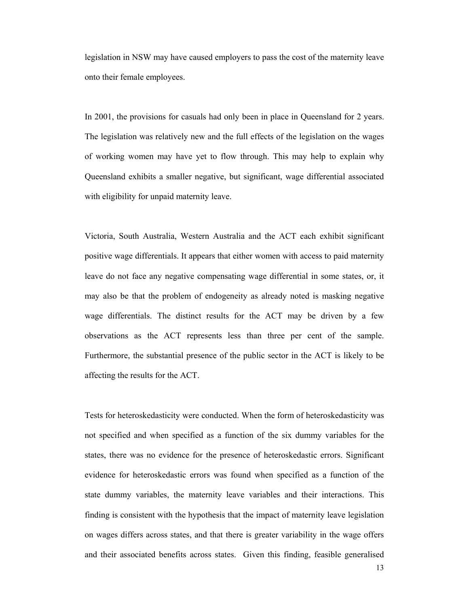legislation in NSW may have caused employers to pass the cost of the maternity leave onto their female employees.

In 2001, the provisions for casuals had only been in place in Queensland for 2 years. The legislation was relatively new and the full effects of the legislation on the wages of working women may have yet to flow through. This may help to explain why Queensland exhibits a smaller negative, but significant, wage differential associated with eligibility for unpaid maternity leave.

Victoria, South Australia, Western Australia and the ACT each exhibit significant positive wage differentials. It appears that either women with access to paid maternity leave do not face any negative compensating wage differential in some states, or, it may also be that the problem of endogeneity as already noted is masking negative wage differentials. The distinct results for the ACT may be driven by a few observations as the ACT represents less than three per cent of the sample. Furthermore, the substantial presence of the public sector in the ACT is likely to be affecting the results for the ACT.

Tests for heteroskedasticity were conducted. When the form of heteroskedasticity was not specified and when specified as a function of the six dummy variables for the states, there was no evidence for the presence of heteroskedastic errors. Significant evidence for heteroskedastic errors was found when specified as a function of the state dummy variables, the maternity leave variables and their interactions. This finding is consistent with the hypothesis that the impact of maternity leave legislation on wages differs across states, and that there is greater variability in the wage offers and their associated benefits across states. Given this finding, feasible generalised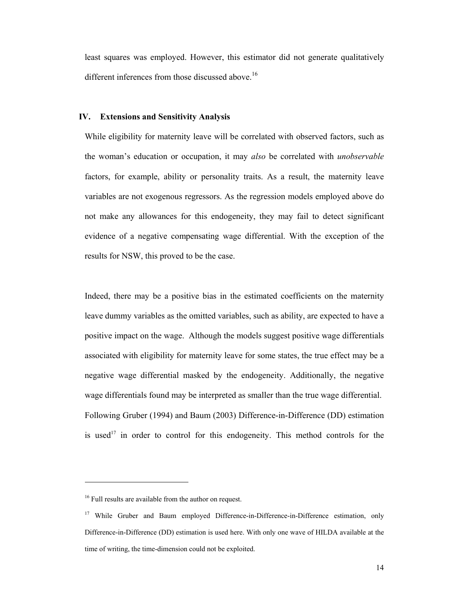least squares was employed. However, this estimator did not generate qualitatively different inferences from those discussed above.<sup>16</sup>

#### **IV. Extensions and Sensitivity Analysis**

While eligibility for maternity leave will be correlated with observed factors, such as the woman's education or occupation, it may *also* be correlated with *unobservable*  factors, for example, ability or personality traits. As a result, the maternity leave variables are not exogenous regressors. As the regression models employed above do not make any allowances for this endogeneity, they may fail to detect significant evidence of a negative compensating wage differential. With the exception of the results for NSW, this proved to be the case.

Indeed, there may be a positive bias in the estimated coefficients on the maternity leave dummy variables as the omitted variables, such as ability, are expected to have a positive impact on the wage. Although the models suggest positive wage differentials associated with eligibility for maternity leave for some states, the true effect may be a negative wage differential masked by the endogeneity. Additionally, the negative wage differentials found may be interpreted as smaller than the true wage differential. Following Gruber (1994) and Baum (2003) Difference-in-Difference (DD) estimation is used<sup>17</sup> in order to control for this endogeneity. This method controls for the

<sup>&</sup>lt;sup>16</sup> Full results are available from the author on request.

<sup>&</sup>lt;sup>17</sup> While Gruber and Baum employed Difference-in-Difference-in-Difference estimation, only Difference-in-Difference (DD) estimation is used here. With only one wave of HILDA available at the time of writing, the time-dimension could not be exploited.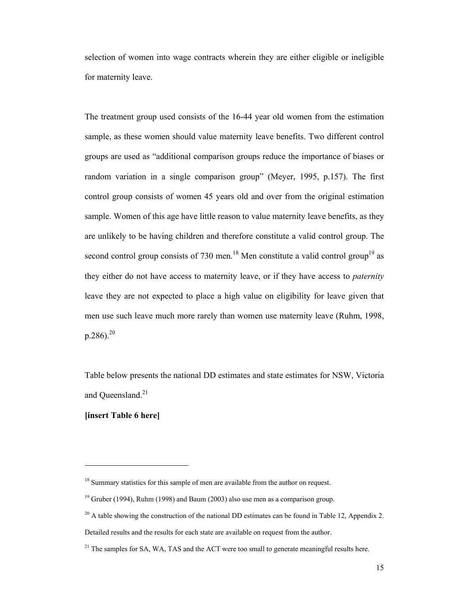selection of women into wage contracts wherein they are either eligible or ineligible for maternity leave.

The treatment group used consists of the 16-44 year old women from the estimation sample, as these women should value maternity leave benefits. Two different control groups are used as "additional comparison groups reduce the importance of biases or random variation in a single comparison group" (Meyer, 1995, p.157). The first control group consists of women 45 years old and over from the original estimation sample. Women of this age have little reason to value maternity leave benefits, as they are unlikely to be having children and therefore constitute a valid control group. The second control group consists of 730 men.<sup>18</sup> Men constitute a valid control group<sup>19</sup> as they either do not have access to maternity leave, or if they have access to *paternity* leave they are not expected to place a high value on eligibility for leave given that men use such leave much more rarely than women use maternity leave (Ruhm, 1998,  $p.286$ ).<sup>20</sup>

Table below presents the national DD estimates and state estimates for NSW, Victoria and Oueensland.<sup>21</sup>

### **[insert Table 6 here]**

l

<sup>&</sup>lt;sup>18</sup> Summary statistics for this sample of men are available from the author on request.

 $19$  Gruber (1994), Ruhm (1998) and Baum (2003) also use men as a comparison group.

 $20$  A table showing the construction of the national DD estimates can be found in Table 12, Appendix 2.

Detailed results and the results for each state are available on request from the author.

<sup>&</sup>lt;sup>21</sup> The samples for SA, WA, TAS and the ACT were too small to generate meaningful results here.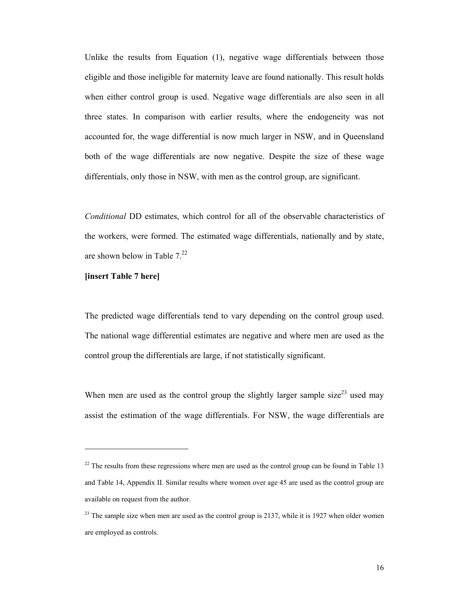Unlike the results from Equation (1), negative wage differentials between those eligible and those ineligible for maternity leave are found nationally. This result holds when either control group is used. Negative wage differentials are also seen in all three states. In comparison with earlier results, where the endogeneity was not accounted for, the wage differential is now much larger in NSW, and in Queensland both of the wage differentials are now negative. Despite the size of these wage differentials, only those in NSW, with men as the control group, are significant.

*Conditional* DD estimates, which control for all of the observable characteristics of the workers, were formed. The estimated wage differentials, nationally and by state, are shown below in Table  $7.^{22}$ 

**[insert Table 7 here]** 

 $\overline{a}$ 

The predicted wage differentials tend to vary depending on the control group used. The national wage differential estimates are negative and where men are used as the control group the differentials are large, if not statistically significant.

When men are used as the control group the slightly larger sample size<sup>23</sup> used may assist the estimation of the wage differentials. For NSW, the wage differentials are

 $22$  The results from these regressions where men are used as the control group can be found in Table 13 and Table 14, Appendix II. Similar results where women over age 45 are used as the control group are available on request from the author.

<sup>&</sup>lt;sup>23</sup> The sample size when men are used as the control group is 2137, while it is 1927 when older women are employed as controls.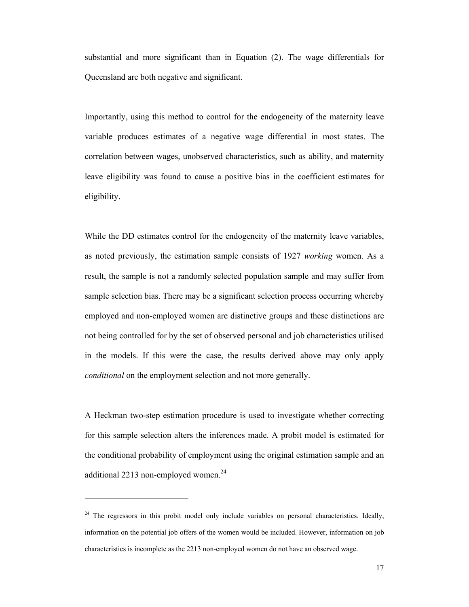substantial and more significant than in Equation (2). The wage differentials for Queensland are both negative and significant.

Importantly, using this method to control for the endogeneity of the maternity leave variable produces estimates of a negative wage differential in most states. The correlation between wages, unobserved characteristics, such as ability, and maternity leave eligibility was found to cause a positive bias in the coefficient estimates for eligibility.

While the DD estimates control for the endogeneity of the maternity leave variables, as noted previously, the estimation sample consists of 1927 *working* women. As a result, the sample is not a randomly selected population sample and may suffer from sample selection bias. There may be a significant selection process occurring whereby employed and non-employed women are distinctive groups and these distinctions are not being controlled for by the set of observed personal and job characteristics utilised in the models. If this were the case, the results derived above may only apply *conditional* on the employment selection and not more generally.

A Heckman two-step estimation procedure is used to investigate whether correcting for this sample selection alters the inferences made. A probit model is estimated for the conditional probability of employment using the original estimation sample and an additional 2213 non-employed women. $24$ 

 $24$  The regressors in this probit model only include variables on personal characteristics. Ideally, information on the potential job offers of the women would be included. However, information on job characteristics is incomplete as the 2213 non-employed women do not have an observed wage.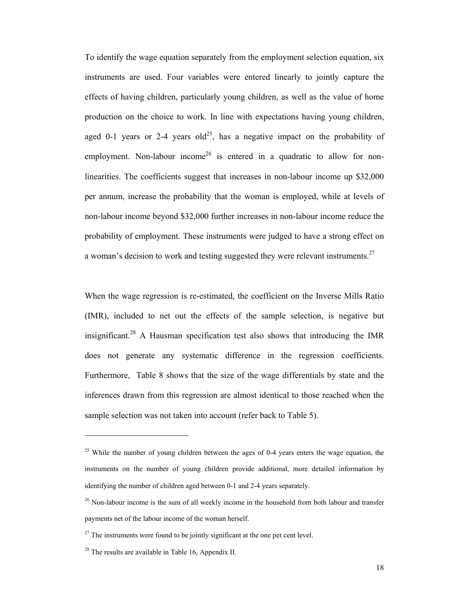To identify the wage equation separately from the employment selection equation, six instruments are used. Four variables were entered linearly to jointly capture the effects of having children, particularly young children, as well as the value of home production on the choice to work. In line with expectations having young children, aged 0-1 years or 2-4 years old<sup>25</sup>, has a negative impact on the probability of employment. Non-labour income<sup>26</sup> is entered in a quadratic to allow for nonlinearities. The coefficients suggest that increases in non-labour income up \$32,000 per annum, increase the probability that the woman is employed, while at levels of non-labour income beyond \$32,000 further increases in non-labour income reduce the probability of employment. These instruments were judged to have a strong effect on a woman's decision to work and testing suggested they were relevant instruments.<sup>27</sup>

When the wage regression is re-estimated, the coefficient on the Inverse Mills Ratio (IMR), included to net out the effects of the sample selection, is negative but insignificant.<sup>28</sup> A Hausman specification test also shows that introducing the IMR does not generate any systematic difference in the regression coefficients. Furthermore, Table 8 shows that the size of the wage differentials by state and the inferences drawn from this regression are almost identical to those reached when the sample selection was not taken into account (refer back to Table 5).

<sup>&</sup>lt;sup>25</sup> While the number of young children between the ages of 0-4 years enters the wage equation, the instruments on the number of young children provide additional, more detailed information by identifying the number of children aged between 0-1 and 2-4 years separately.

 $26$  Non-labour income is the sum of all weekly income in the household from both labour and transfer payments net of the labour income of the woman herself.

 $27$  The instruments were found to be jointly significant at the one per cent level.

 $28$  The results are available in Table 16, Appendix II.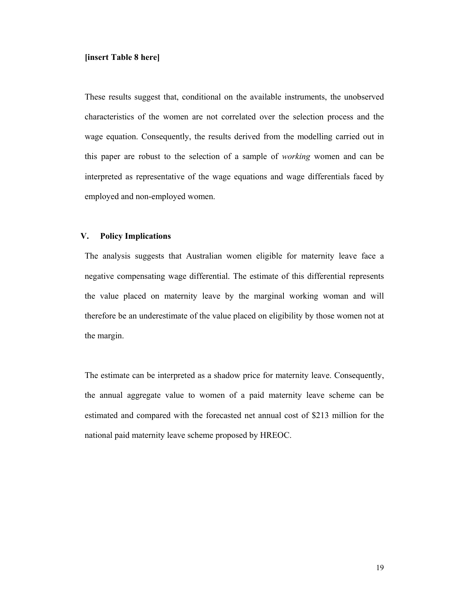#### **[insert Table 8 here]**

These results suggest that, conditional on the available instruments, the unobserved characteristics of the women are not correlated over the selection process and the wage equation. Consequently, the results derived from the modelling carried out in this paper are robust to the selection of a sample of *working* women and can be interpreted as representative of the wage equations and wage differentials faced by employed and non-employed women.

### **V. Policy Implications**

The analysis suggests that Australian women eligible for maternity leave face a negative compensating wage differential. The estimate of this differential represents the value placed on maternity leave by the marginal working woman and will therefore be an underestimate of the value placed on eligibility by those women not at the margin.

The estimate can be interpreted as a shadow price for maternity leave. Consequently, the annual aggregate value to women of a paid maternity leave scheme can be estimated and compared with the forecasted net annual cost of \$213 million for the national paid maternity leave scheme proposed by HREOC.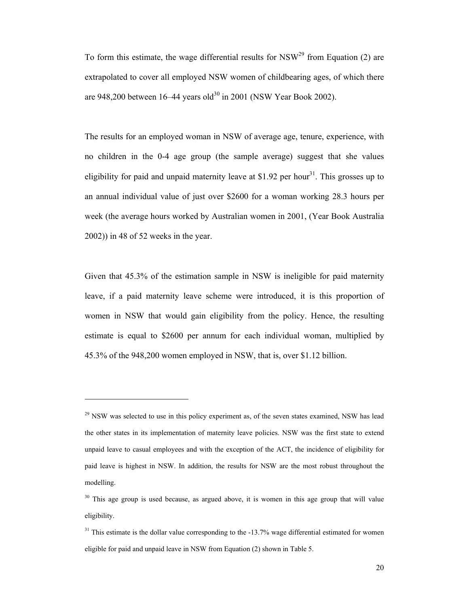To form this estimate, the wage differential results for  $NSW<sup>29</sup>$  from Equation (2) are extrapolated to cover all employed NSW women of childbearing ages, of which there are 948,200 between  $16-44$  years old<sup>30</sup> in 2001 (NSW Year Book 2002).

The results for an employed woman in NSW of average age, tenure, experience, with no children in the 0-4 age group (the sample average) suggest that she values eligibility for paid and unpaid maternity leave at \$1.92 per hour<sup>31</sup>. This grosses up to an annual individual value of just over \$2600 for a woman working 28.3 hours per week (the average hours worked by Australian women in 2001, (Year Book Australia 2002)) in 48 of 52 weeks in the year.

Given that 45.3% of the estimation sample in NSW is ineligible for paid maternity leave, if a paid maternity leave scheme were introduced, it is this proportion of women in NSW that would gain eligibility from the policy. Hence, the resulting estimate is equal to \$2600 per annum for each individual woman, multiplied by 45.3% of the 948,200 women employed in NSW, that is, over \$1.12 billion.

 $29$  NSW was selected to use in this policy experiment as, of the seven states examined, NSW has lead the other states in its implementation of maternity leave policies. NSW was the first state to extend unpaid leave to casual employees and with the exception of the ACT, the incidence of eligibility for paid leave is highest in NSW. In addition, the results for NSW are the most robust throughout the modelling.

 $30$  This age group is used because, as argued above, it is women in this age group that will value eligibility.

 $31$  This estimate is the dollar value corresponding to the  $-13.7\%$  wage differential estimated for women eligible for paid and unpaid leave in NSW from Equation (2) shown in Table 5.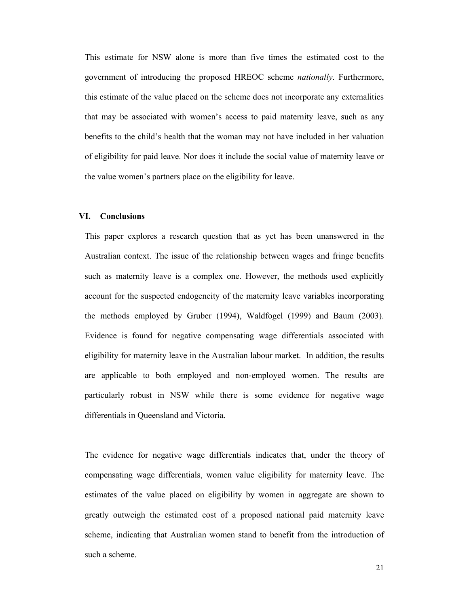This estimate for NSW alone is more than five times the estimated cost to the government of introducing the proposed HREOC scheme *nationally*. Furthermore, this estimate of the value placed on the scheme does not incorporate any externalities that may be associated with women's access to paid maternity leave, such as any benefits to the child's health that the woman may not have included in her valuation of eligibility for paid leave. Nor does it include the social value of maternity leave or the value women's partners place on the eligibility for leave.

#### **VI. Conclusions**

This paper explores a research question that as yet has been unanswered in the Australian context. The issue of the relationship between wages and fringe benefits such as maternity leave is a complex one. However, the methods used explicitly account for the suspected endogeneity of the maternity leave variables incorporating the methods employed by Gruber (1994), Waldfogel (1999) and Baum (2003). Evidence is found for negative compensating wage differentials associated with eligibility for maternity leave in the Australian labour market. In addition, the results are applicable to both employed and non-employed women. The results are particularly robust in NSW while there is some evidence for negative wage differentials in Queensland and Victoria.

The evidence for negative wage differentials indicates that, under the theory of compensating wage differentials, women value eligibility for maternity leave. The estimates of the value placed on eligibility by women in aggregate are shown to greatly outweigh the estimated cost of a proposed national paid maternity leave scheme, indicating that Australian women stand to benefit from the introduction of such a scheme.

21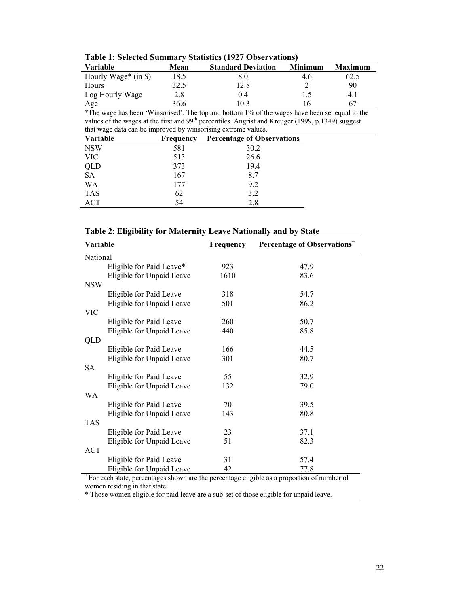| THURT TEMPLOMENT PHILLIPS          |      |                           |         |                |
|------------------------------------|------|---------------------------|---------|----------------|
| Variable                           | Mean | <b>Standard Deviation</b> | Minimum | <b>Maximum</b> |
| Hourly Wage <sup>*</sup> (in $\$ ) | 18.5 |                           | 4.6     | 62.5           |
| Hours                              | 32.5 | 12.8                      |         | 90             |
| Log Hourly Wage                    | 2.8  | () 4                      |         | 4. I           |
| Age                                | 36.6 | 103                       |         | 67             |

**Table 1: Selected Summary Statistics (1927 Observations)** 

\*The wage has been 'Winsorised'. The top and bottom 1% of the wages have been set equal to the values of the wages at the first and 99<sup>th</sup> percentiles. Angrist and Kreuger (1999, p.1349) suggest that wage data can be improved by winsorising extreme values.

| <b>Variable</b> | <b>Frequency</b> | <b>Percentage of Observations</b> |
|-----------------|------------------|-----------------------------------|
| <b>NSW</b>      | 581              | 30.2                              |
| <b>VIC</b>      | 513              | 26.6                              |
| <b>QLD</b>      | 373              | 19.4                              |
| <b>SA</b>       | 167              | 8.7                               |
| WΑ              | 177              | 9.2                               |
| <b>TAS</b>      | 62               | 3.2                               |
| ACT             | 54               | 2.8                               |

| Table 2: Eligibility for Maternity Leave Nationally and by State |  |  |
|------------------------------------------------------------------|--|--|
|                                                                  |  |  |

| Variable                      |                                                                                         | Frequency | Percentage of Observations <sup>+</sup>                                                                 |  |
|-------------------------------|-----------------------------------------------------------------------------------------|-----------|---------------------------------------------------------------------------------------------------------|--|
| National                      |                                                                                         |           |                                                                                                         |  |
|                               | Eligible for Paid Leave*                                                                | 923       | 47.9                                                                                                    |  |
|                               | Eligible for Unpaid Leave                                                               | 1610      | 83.6                                                                                                    |  |
| <b>NSW</b>                    |                                                                                         |           |                                                                                                         |  |
|                               | Eligible for Paid Leave                                                                 | 318       | 54.7                                                                                                    |  |
|                               | Eligible for Unpaid Leave                                                               | 501       | 86.2                                                                                                    |  |
| <b>VIC</b>                    |                                                                                         |           |                                                                                                         |  |
|                               | Eligible for Paid Leave                                                                 | 260       | 50.7                                                                                                    |  |
|                               | Eligible for Unpaid Leave                                                               | 440       | 85.8                                                                                                    |  |
| QLD                           |                                                                                         |           |                                                                                                         |  |
|                               | Eligible for Paid Leave                                                                 | 166       | 44.5                                                                                                    |  |
|                               | Eligible for Unpaid Leave                                                               | 301       | 80.7                                                                                                    |  |
| <b>SA</b>                     |                                                                                         |           |                                                                                                         |  |
|                               | Eligible for Paid Leave                                                                 | 55        | 32.9                                                                                                    |  |
|                               | Eligible for Unpaid Leave                                                               | 132       | 79.0                                                                                                    |  |
| <b>WA</b>                     |                                                                                         |           |                                                                                                         |  |
|                               | Eligible for Paid Leave                                                                 | 70        | 39.5                                                                                                    |  |
|                               | Eligible for Unpaid Leave                                                               | 143       | 80.8                                                                                                    |  |
| <b>TAS</b>                    |                                                                                         |           |                                                                                                         |  |
|                               | Eligible for Paid Leave                                                                 | 23        | 37.1                                                                                                    |  |
|                               | Eligible for Unpaid Leave                                                               | 51        | 82.3                                                                                                    |  |
| <b>ACT</b>                    |                                                                                         |           |                                                                                                         |  |
|                               | Eligible for Paid Leave                                                                 | 31        | 57.4                                                                                                    |  |
|                               | Eligible for Unpaid Leave                                                               | 42        | 77.8                                                                                                    |  |
|                               |                                                                                         |           | <sup>+</sup> For each state, percentages shown are the percentage eligible as a proportion of number of |  |
| women residing in that state. |                                                                                         |           |                                                                                                         |  |
|                               | * Those women eligible for paid leave are a sub-set of those eligible for unpaid leave. |           |                                                                                                         |  |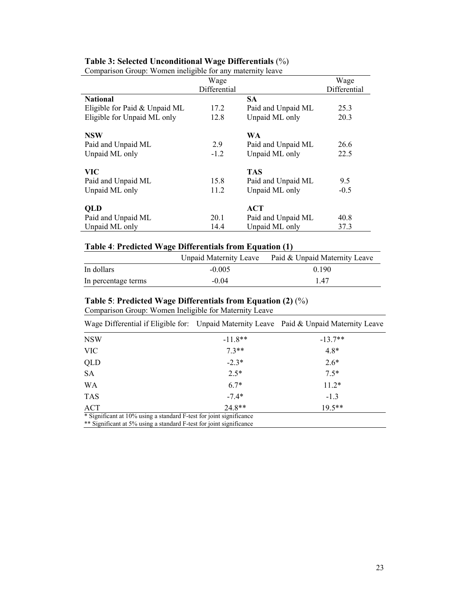| Comparison Group. Women mengione for any materinty reave | Wage         |                    | Wage         |
|----------------------------------------------------------|--------------|--------------------|--------------|
|                                                          |              |                    |              |
|                                                          | Differential |                    | Differential |
| <b>National</b>                                          |              | SА                 |              |
| Eligible for Paid $&$ Unpaid ML                          | 17.2         | Paid and Unpaid ML | 25.3         |
| Eligible for Unpaid ML only                              | 12.8         | Unpaid ML only     | 20.3         |
| <b>NSW</b>                                               |              | <b>WA</b>          |              |
| Paid and Unpaid ML                                       | 2.9          | Paid and Unpaid ML | 26.6         |
| Unpaid ML only                                           | $-1.2$       | Unpaid ML only     | 22.5         |
| VIC.                                                     |              | <b>TAS</b>         |              |
| Paid and Unpaid ML                                       | 15.8         | Paid and Unpaid ML | 9.5          |
| Unpaid ML only                                           | 11.2         | Unpaid ML only     | $-0.5$       |
| <b>QLD</b>                                               |              | <b>ACT</b>         |              |
| Paid and Unpaid ML                                       | 20.1         | Paid and Unpaid ML | 40.8         |
| Unpaid ML only                                           | 14.4         | Unpaid ML only     | 37.3         |

# **Table 3: Selected Unconditional Wage Differentials** (%)

Comparison Group: Women ineligible for any maternity leave

### **Table 4**: **Predicted Wage Differentials from Equation (1)**

|                     | <b>Unpaid Maternity Leave</b> | Paid & Unpaid Maternity Leave |
|---------------------|-------------------------------|-------------------------------|
| In dollars          | $-0.005$                      | 0.190                         |
| In percentage terms | $-0.04$                       | 147                           |

# **Table 5**: **Predicted Wage Differentials from Equation (2)** (%)

Comparison Group: Women Ineligible for Maternity Leave

| Wage Differential if Eligible for: Unpaid Maternity Leave Paid & Unpaid Maternity Leave                                                    |           |           |
|--------------------------------------------------------------------------------------------------------------------------------------------|-----------|-----------|
| <b>NSW</b>                                                                                                                                 | $-11.8**$ | $-13.7**$ |
| <b>VIC</b>                                                                                                                                 | $7.3**$   | $4.8*$    |
| QLD                                                                                                                                        | $-2.3*$   | $2.6*$    |
| <b>SA</b>                                                                                                                                  | $2.5*$    | $7.5*$    |
| WA                                                                                                                                         | $6.7*$    | $11.2*$   |
| <b>TAS</b>                                                                                                                                 | $-7.4*$   | $-1.3$    |
| ACT                                                                                                                                        | $24.8**$  | $19.5***$ |
| * Significant at 10% using a standard F-test for joint significance<br>** Significant at 5% using a standard E tost for joint significance |           |           |

Significant at 5% using a standard F-test for joint significance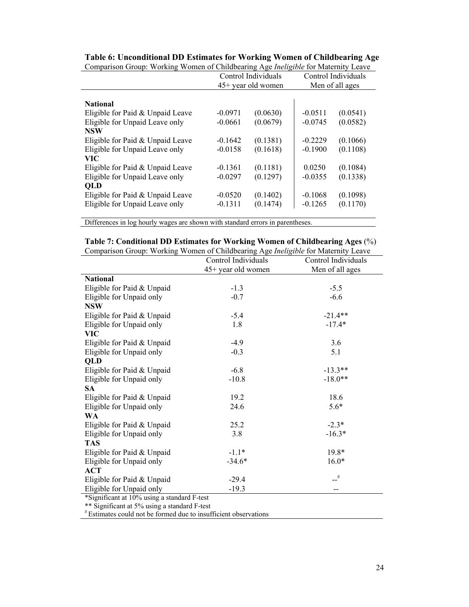|                                  |           | $\cdots$ , $\cdots$ , $\cdots$ |           |                     |
|----------------------------------|-----------|--------------------------------|-----------|---------------------|
|                                  |           | Control Individuals            |           | Control Individuals |
|                                  |           | 45+ year old women             |           | Men of all ages     |
|                                  |           |                                |           |                     |
| <b>National</b>                  |           |                                |           |                     |
| Eligible for Paid & Unpaid Leave | $-0.0971$ | (0.0630)                       | $-0.0511$ | (0.0541)            |
| Eligible for Unpaid Leave only   | $-0.0661$ | (0.0679)                       | $-0.0745$ | (0.0582)            |
| <b>NSW</b>                       |           |                                |           |                     |
| Eligible for Paid & Unpaid Leave | $-0.1642$ | (0.1381)                       | $-0.2229$ | (0.1066)            |
| Eligible for Unpaid Leave only   | $-0.0158$ | (0.1618)                       | $-0.1900$ | (0.1108)            |
| VIC.                             |           |                                |           |                     |
| Eligible for Paid & Unpaid Leave | $-0.1361$ | (0.1181)                       | 0.0250    | (0.1084)            |
| Eligible for Unpaid Leave only   | $-0.0297$ | (0.1297)                       | $-0.0355$ | (0.1338)            |
| QLD                              |           |                                |           |                     |
| Eligible for Paid & Unpaid Leave | $-0.0520$ | (0.1402)                       | $-0.1068$ | (0.1098)            |
| Eligible for Unpaid Leave only   | $-0.1311$ | (0.1474)                       | $-0.1265$ | (0.1170)            |
|                                  |           |                                |           |                     |

#### **Table 6: Unconditional DD Estimates for Working Women of Childbearing Age**  Comparison Group: Working Women of Childbearing Age *Ineligible* for Maternity Leave

Differences in log hourly wages are shown with standard errors in parentheses.

| Table 7: Conditional DD Estimates for Working Women of Childbearing Ages (%) |  |  |
|------------------------------------------------------------------------------|--|--|
|------------------------------------------------------------------------------|--|--|

| Comparison Group: Working Women of Childbearing Age <i>Ineligible</i> for Maternity Leave |  |  |
|-------------------------------------------------------------------------------------------|--|--|
|                                                                                           |  |  |

|                                             | Control Individuals | Control Individuals |
|---------------------------------------------|---------------------|---------------------|
|                                             | 45+ year old women  | Men of all ages     |
| <b>National</b>                             |                     |                     |
| Eligible for Paid & Unpaid                  | $-1.3$              | $-5.5$              |
| Eligible for Unpaid only                    | $-0.7$              | $-6.6$              |
| <b>NSW</b>                                  |                     |                     |
| Eligible for Paid & Unpaid                  | $-5.4$              | $-21.4**$           |
| Eligible for Unpaid only                    | 1.8                 | $-17.4*$            |
| <b>VIC</b>                                  |                     |                     |
| Eligible for Paid & Unpaid                  | $-4.9$              | 3.6                 |
| Eligible for Unpaid only                    | $-0.3$              | 5.1                 |
| QLD                                         |                     |                     |
| Eligible for Paid & Unpaid                  | $-6.8$              | $-13.3**$           |
| Eligible for Unpaid only                    | $-10.8$             | $-18.0**$           |
| <b>SA</b>                                   |                     |                     |
| Eligible for Paid & Unpaid                  | 19.2                | 18.6                |
| Eligible for Unpaid only                    | 24.6                | $5.6*$              |
| <b>WA</b>                                   |                     |                     |
| Eligible for Paid & Unpaid                  | 25.2                | $-2.3*$             |
| Eligible for Unpaid only                    | 3.8                 | $-16.3*$            |
| <b>TAS</b>                                  |                     |                     |
| Eligible for Paid & Unpaid                  | $-1.1*$             | 19.8*               |
| Eligible for Unpaid only                    | $-34.6*$            | $16.0*$             |
| <b>ACT</b>                                  |                     |                     |
| Eligible for Paid & Unpaid                  | $-29.4$             | $\mathcal{L}^\#$    |
| Eligible for Unpaid only                    | $-19.3$             |                     |
| *Sionificant at 10% using a standard E-test |                     |                     |

\*Significant at 10% using a standard F-test

\*\* Significant at 5% using a standard F-test

# Estimates could not be formed due to insufficient observations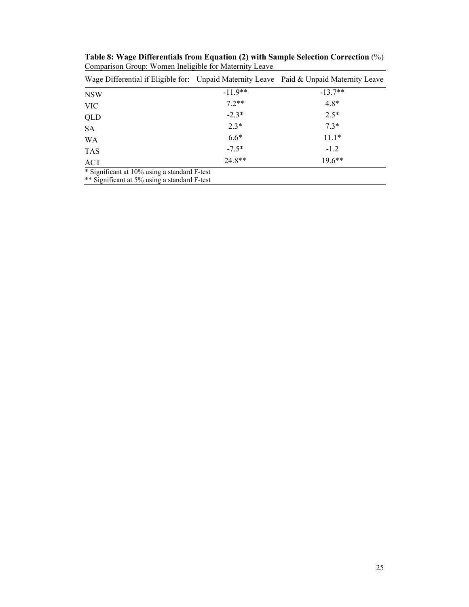| Wage Differential if Eligible for: Unpaid Maternity Leave Paid & Unpaid Maternity Leave |           |           |  |  |
|-----------------------------------------------------------------------------------------|-----------|-----------|--|--|
| <b>NSW</b>                                                                              | $-11.9**$ | $-13.7**$ |  |  |
| <b>VIC</b>                                                                              | $72**$    | $4.8*$    |  |  |
| QLD                                                                                     | $-2.3*$   | $2.5*$    |  |  |
| <b>SA</b>                                                                               | $2.3*$    | $7.3*$    |  |  |
| WA                                                                                      | $6.6*$    | $11.1*$   |  |  |
| <b>TAS</b>                                                                              | $-7.5*$   | $-1.2$    |  |  |
| ACT                                                                                     | $24.8**$  | $19.6***$ |  |  |
| * Significant at 10% using a standard F-test                                            |           |           |  |  |
| ** Significant at 5% using a standard F-test                                            |           |           |  |  |

**Table 8: Wage Differentials from Equation (2) with Sample Selection Correction** (%) Comparison Group: Women Ineligible for Maternity Leave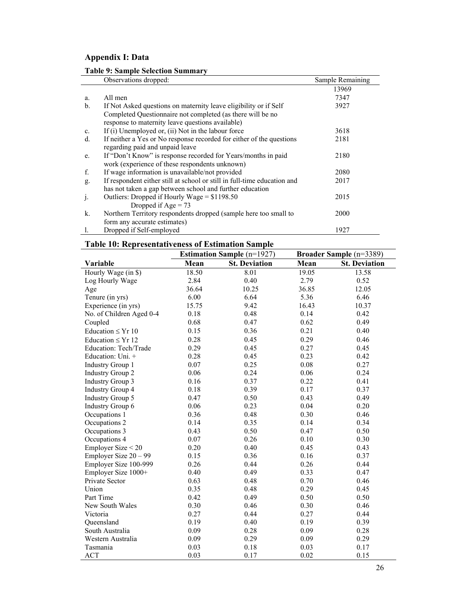# **Appendix I: Data**

### **Table 9: Sample Selection Summary**

|                | Observations dropped:                                                    | Sample Remaining |
|----------------|--------------------------------------------------------------------------|------------------|
|                |                                                                          | 13969            |
| a.             | All men                                                                  | 7347             |
| $\mathbf{b}$ . | If Not Asked questions on maternity leave eligibility or if Self         | 3927             |
|                | Completed Questionnaire not completed (as there will be no               |                  |
|                | response to maternity leave questions available)                         |                  |
| $\mathbf{c}$ . | If (i) Unemployed or, (ii) Not in the labour force                       | 3618             |
| d.             | If neither a Yes or No response recorded for either of the questions     | 2181             |
|                | regarding paid and unpaid leave                                          |                  |
| e.             | If "Don't Know" is response recorded for Years/months in paid            | 2180             |
|                | work (experience of these respondents unknown)                           |                  |
| f.             | If wage information is unavailable/not provided                          | 2080             |
| g.             | If respondent either still at school or still in full-time education and | 2017             |
|                | has not taken a gap between school and further education                 |                  |
| $\cdot$        | Outliers: Dropped if Hourly Wage = $$1198.50$                            | 2015             |
|                | Dropped if $Age = 73$                                                    |                  |
| k.             | Northern Territory respondents dropped (sample here too small to         | 2000             |
|                | form any accurate estimates)                                             |                  |
|                | Dropped if Self-employed                                                 | 1927             |

### **Table 10: Representativeness of Estimation Sample**

|                          | <b>Estimation Sample (n=1927)</b> |                      | Broader Sample (n=3389)      |       |
|--------------------------|-----------------------------------|----------------------|------------------------------|-------|
| Variable                 | Mean                              | <b>St. Deviation</b> | <b>St. Deviation</b><br>Mean |       |
| Hourly Wage (in \$)      | 18.50                             | 8.01                 | 19.05                        | 13.58 |
| Log Hourly Wage          | 2.84                              | 0.40                 | 2.79                         | 0.52  |
| Age                      | 36.64                             | 10.25                | 36.85                        | 12.05 |
| Tenure (in yrs)          | 6.00                              | 6.64                 | 5.36                         | 6.46  |
| Experience (in yrs)      | 15.75                             | 9.42                 | 16.43                        | 10.37 |
| No. of Children Aged 0-4 | 0.18                              | 0.48                 | 0.14                         | 0.42  |
| Coupled                  | 0.68                              | 0.47                 | 0.62                         | 0.49  |
| Education $\leq$ Yr 10   | 0.15                              | 0.36                 | 0.21                         | 0.40  |
| Education $\leq$ Yr 12   | 0.28                              | 0.45                 | 0.29                         | 0.46  |
| Education: Tech/Trade    | 0.29                              | 0.45                 | 0.27                         | 0.45  |
| Education: Uni. +        | 0.28                              | 0.45                 | 0.23                         | 0.42  |
| <b>Industry Group 1</b>  | 0.07                              | 0.25                 | 0.08                         | 0.27  |
| <b>Industry Group 2</b>  | 0.06                              | 0.24                 | 0.06                         | 0.24  |
| <b>Industry Group 3</b>  | 0.16                              | 0.37                 | 0.22                         | 0.41  |
| <b>Industry Group 4</b>  | 0.18                              | 0.39                 | 0.17                         | 0.37  |
| <b>Industry Group 5</b>  | 0.47                              | 0.50                 | 0.43                         | 0.49  |
| <b>Industry Group 6</b>  | 0.06                              | 0.23                 | 0.04                         | 0.20  |
| Occupations 1            | 0.36                              | 0.48                 | 0.30                         | 0.46  |
| Occupations 2            | 0.14                              | 0.35                 | 0.14                         | 0.34  |
| Occupations 3            | 0.43                              | 0.50                 | 0.47                         | 0.50  |
| Occupations 4            | 0.07                              | 0.26                 | 0.10                         | 0.30  |
| Employer Size $<$ 20     | 0.20                              | 0.40                 | 0.45                         | 0.43  |
| Employer Size $20 - 99$  | 0.15                              | 0.36                 | 0.16                         | 0.37  |
| Employer Size 100-999    | 0.26                              | 0.44                 | 0.26                         | 0.44  |
| Employer Size 1000+      | 0.40                              | 0.49                 | 0.33                         | 0.47  |
| Private Sector           | 0.63                              | 0.48                 | 0.70                         | 0.46  |
| Union                    | 0.35                              | 0.48                 | 0.29                         | 0.45  |
| Part Time                | 0.42                              | 0.49                 | 0.50                         | 0.50  |
| New South Wales          | 0.30                              | 0.46                 | 0.30                         | 0.46  |
| Victoria                 | 0.27                              | 0.44                 | 0.27                         | 0.44  |
| Queensland               | 0.19                              | 0.40                 | 0.19                         | 0.39  |
| South Australia          | 0.09                              | 0.28                 | 0.09                         | 0.28  |
| Western Australia        | 0.09                              | 0.29                 | 0.09                         | 0.29  |
| Tasmania                 | 0.03                              | 0.18                 | 0.03                         | 0.17  |
| <b>ACT</b>               | 0.03                              | 0.17                 | 0.02                         | 0.15  |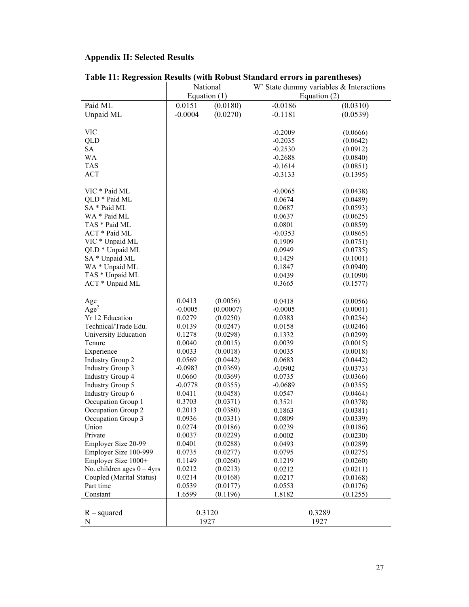# **Appendix II: Selected Results**

|                              | National  |                | W' State dummy variables & Interactions |          |  |
|------------------------------|-----------|----------------|-----------------------------------------|----------|--|
|                              |           |                | Equation (2)                            |          |  |
|                              |           | Equation $(1)$ |                                         |          |  |
| Paid ML                      | 0.0151    | (0.0180)       | $-0.0186$                               | (0.0310) |  |
| Unpaid ML                    | $-0.0004$ | (0.0270)       | $-0.1181$                               | (0.0539) |  |
|                              |           |                |                                         |          |  |
| <b>VIC</b>                   |           |                | $-0.2009$                               | (0.0666) |  |
| QLD                          |           |                | $-0.2035$                               | (0.0642) |  |
| <b>SA</b>                    |           |                | $-0.2530$                               | (0.0912) |  |
| WA                           |           |                | $-0.2688$                               | (0.0840) |  |
| <b>TAS</b>                   |           |                | $-0.1614$                               | (0.0851) |  |
| <b>ACT</b>                   |           |                | $-0.3133$                               | (0.1395) |  |
|                              |           |                |                                         |          |  |
| VIC * Paid ML                |           |                | $-0.0065$                               | (0.0438) |  |
| QLD * Paid ML                |           |                | 0.0674                                  | (0.0489) |  |
| SA * Paid ML                 |           |                | 0.0687                                  | (0.0593) |  |
| WA * Paid ML                 |           |                | 0.0637                                  | (0.0625) |  |
| TAS * Paid ML                |           |                | 0.0801                                  | (0.0859) |  |
| ACT * Paid ML                |           |                | $-0.0353$                               | (0.0865) |  |
| VIC * Unpaid ML              |           |                | 0.1909                                  | (0.0751) |  |
| QLD * Unpaid ML              |           |                | 0.0949                                  | (0.0735) |  |
| SA * Unpaid ML               |           |                |                                         |          |  |
|                              |           |                | 0.1429                                  | (0.1001) |  |
| WA * Unpaid ML               |           |                | 0.1847                                  | (0.0940) |  |
| TAS * Unpaid ML              |           |                | 0.0439                                  | (0.1090) |  |
| ACT * Unpaid ML              |           |                | 0.3665                                  | (0.1577) |  |
|                              |           |                |                                         |          |  |
| Age                          | 0.0413    | (0.0056)       | 0.0418                                  | (0.0056) |  |
| Age <sup>2</sup>             | $-0.0005$ | (0.00007)      | $-0.0005$                               | (0.0001) |  |
| Yr 12 Education              | 0.0279    | (0.0250)       | 0.0383                                  | (0.0254) |  |
| Technical/Trade Edu.         | 0.0139    | (0.0247)       | 0.0158                                  | (0.0246) |  |
| University Education         | 0.1278    | (0.0298)       | 0.1332                                  | (0.0299) |  |
| Tenure                       | 0.0040    | (0.0015)       | 0.0039                                  | (0.0015) |  |
| Experience                   | 0.0033    | (0.0018)       | 0.0035                                  | (0.0018) |  |
| <b>Industry Group 2</b>      | 0.0569    | (0.0442)       | 0.0683                                  | (0.0442) |  |
| <b>Industry Group 3</b>      | $-0.0983$ | (0.0369)       | $-0.0902$                               | (0.0373) |  |
| <b>Industry Group 4</b>      | 0.0660    | (0.0369)       | 0.0735                                  | (0.0366) |  |
| Industry Group 5             | $-0.0778$ | (0.0355)       | $-0.0689$                               | (0.0355) |  |
| <b>Industry Group 6</b>      | 0.0411    | (0.0458)       | 0.0547                                  | (0.0464) |  |
| Occupation Group 1           | 0.3703    | (0.0371)       | 0.3521                                  | (0.0378) |  |
| Occupation Group 2           | 0.2013    | (0.0380)       | 0.1863                                  | (0.0381) |  |
| Occupation Group 3           | 0.0936    | (0.0331)       | 0.0809                                  | (0.0339) |  |
| Union                        | 0.0274    | (0.0186)       | 0.0239                                  | (0.0186) |  |
| Private                      | 0.0037    | (0.0229)       | 0.0002                                  | (0.0230) |  |
| Employer Size 20-99          | 0.0401    | (0.0288)       | 0.0493                                  | (0.0289) |  |
| Employer Size 100-999        | 0.0735    | (0.0277)       | 0.0795                                  | (0.0275) |  |
| Employer Size 1000+          | 0.1149    | (0.0260)       | 0.1219                                  | (0.0260) |  |
| No. children ages $0 - 4yrs$ | 0.0212    | (0.0213)       | 0.0212                                  | (0.0211) |  |
| Coupled (Marital Status)     | 0.0214    | (0.0168)       | 0.0217                                  | (0.0168) |  |
| Part time                    | 0.0539    | (0.0177)       | 0.0553                                  | (0.0176) |  |
| Constant                     | 1.6599    | (0.1196)       | 1.8182                                  | (0.1255) |  |
|                              |           |                |                                         |          |  |
|                              |           |                |                                         | 0.3289   |  |
| $R$ – squared                |           | 0.3120         |                                         |          |  |
| N                            |           | 1927           |                                         | 1927     |  |

|  |  | Table 11: Regression Results (with Robust Standard errors in parentheses) |  |
|--|--|---------------------------------------------------------------------------|--|
|--|--|---------------------------------------------------------------------------|--|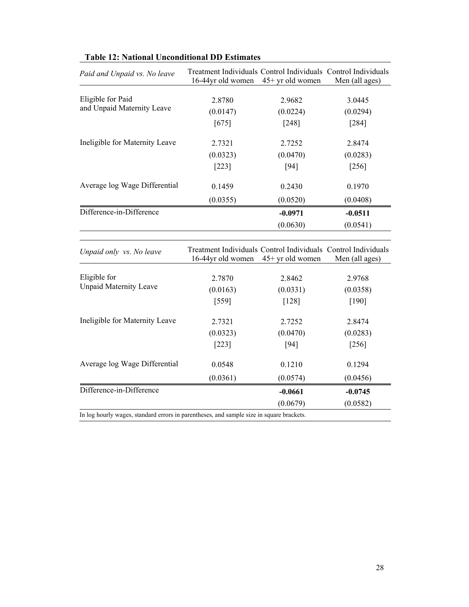| Paid and Unpaid vs. No leave   | Treatment Individuals Control Individuals Control Individuals<br>16-44yr old women | $45+$ yr old women | Men (all ages) |
|--------------------------------|------------------------------------------------------------------------------------|--------------------|----------------|
| Eligible for Paid              | 2.8780                                                                             | 2.9682             | 3.0445         |
| and Unpaid Maternity Leave     |                                                                                    |                    |                |
|                                | (0.0147)                                                                           | (0.0224)           | (0.0294)       |
|                                | [675]                                                                              | $[248]$            | $[284]$        |
| Ineligible for Maternity Leave | 2.7321                                                                             | 2.7252             | 2.8474         |
|                                | (0.0323)                                                                           | (0.0470)           | (0.0283)       |
|                                | $[223]$                                                                            | $[94]$             | $[256]$        |
| Average log Wage Differential  | 0.1459                                                                             | 0.2430             | 0.1970         |
|                                | (0.0355)                                                                           | (0.0520)           | (0.0408)       |
| Difference-in-Difference       |                                                                                    | $-0.0971$          | $-0.0511$      |
|                                |                                                                                    | (0.0630)           | (0.0541)       |
|                                |                                                                                    |                    |                |
| Unpaid only vs. No leave       | Treatment Individuals Control Individuals Control Individuals<br>16-44yr old women | 45+ yr old women   | Men (all ages) |
|                                |                                                                                    |                    |                |
| Eligible for                   |                                                                                    |                    |                |
|                                | 2.7870                                                                             | 2.8462             | 2.9768         |
| <b>Unpaid Maternity Leave</b>  | (0.0163)                                                                           | (0.0331)           | (0.0358)       |
|                                | $[559]$                                                                            | [128]              | [190]          |
| Ineligible for Maternity Leave | 2.7321                                                                             | 2.7252             | 2.8474         |
|                                | (0.0323)                                                                           | (0.0470)           | (0.0283)       |
|                                | $[223]$                                                                            | $[94]$             | $[256]$        |
| Average log Wage Differential  | 0.0548                                                                             | 0.1210             | 0.1294         |
|                                | (0.0361)                                                                           | (0.0574)           | (0.0456)       |
| Difference-in-Difference       |                                                                                    | $-0.0661$          | $-0.0745$      |

# **Table 12: National Unconditional DD Estimates**

In log hourly wages, standard errors in parentheses, and sample size in square brackets.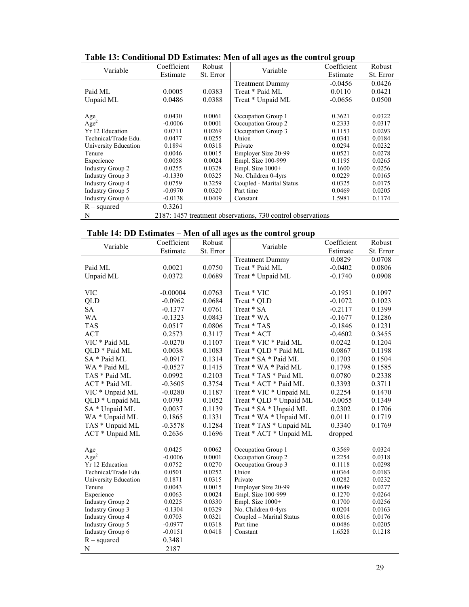| Variable                | Coefficient | Robust    | Variable                                                    | Coefficient | Robust    |
|-------------------------|-------------|-----------|-------------------------------------------------------------|-------------|-----------|
|                         | Estimate    | St. Error |                                                             | Estimate    | St. Error |
|                         |             |           | <b>Treatment Dummy</b>                                      | $-0.0456$   | 0.0426    |
| Paid ML                 | 0.0005      | 0.0383    | Treat * Paid ML                                             | 0.0110      | 0.0421    |
| Unpaid ML               | 0.0486      | 0.0388    | Treat * Unpaid ML                                           | $-0.0656$   | 0.0500    |
|                         |             |           |                                                             |             |           |
| Age                     | 0.0430      | 0.0061    | Occupation Group 1                                          | 0.3621      | 0.0322    |
| Age <sup>2</sup>        | $-0.0006$   | 0.0001    | Occupation Group 2                                          | 0.2333      | 0.0317    |
| Yr 12 Education         | 0.0711      | 0.0269    | Occupation Group 3                                          | 0.1153      | 0.0293    |
| Technical/Trade Edu.    | 0.0477      | 0.0255    | Union                                                       | 0.0341      | 0.0184    |
| University Education    | 0.1894      | 0.0318    | Private                                                     | 0.0294      | 0.0232    |
| Tenure                  | 0.0046      | 0.0015    | Employer Size 20-99                                         | 0.0521      | 0.0278    |
| Experience              | 0.0058      | 0.0024    | Empl. Size 100-999                                          | 0.1195      | 0.0265    |
| <b>Industry Group 2</b> | 0.0255      | 0.0328    | Empl. Size 1000+                                            | 0.1600      | 0.0256    |
| <b>Industry Group 3</b> | $-0.1330$   | 0.0325    | No. Children 0-4yrs                                         | 0.0229      | 0.0165    |
| <b>Industry Group 4</b> | 0.0759      | 0.3259    | Coupled - Marital Status                                    | 0.0325      | 0.0175    |
| <b>Industry Group 5</b> | $-0.0970$   | 0.0320    | Part time                                                   | 0.0469      | 0.0205    |
| Industry Group 6        | $-0.0138$   | 0.0409    | Constant                                                    | 1.5981      | 0.1174    |
| $R$ – squared           | 0.3261      |           |                                                             |             |           |
| N                       |             |           | 2187: 1457 treatment observations, 730 control observations |             |           |

**Table 13: Conditional DD Estimates: Men of all ages as the control group** 

|  |  | Table 14: DD Estimates – Men of all ages as the control group |
|--|--|---------------------------------------------------------------|
|  |  |                                                               |

| Variable                   | Coefficient | Robust    | Variable                 | Coefficient | Robust    |
|----------------------------|-------------|-----------|--------------------------|-------------|-----------|
|                            | Estimate    | St. Error |                          | Estimate    | St. Error |
|                            |             |           | <b>Treatment Dummy</b>   | 0.0829      | 0.0708    |
| Paid ML                    | 0.0021      | 0.0750    | Treat * Paid ML          | $-0.0402$   | 0.0806    |
| Unpaid ML                  | 0.0372      | 0.0689    | Treat * Unpaid ML        | $-0.1740$   | 0.0908    |
|                            |             |           |                          |             |           |
| <b>VIC</b>                 | $-0.00004$  | 0.0763    | Treat * VIC              | $-0.1951$   | 0.1097    |
| QLD                        | $-0.0962$   | 0.0684    | Treat * QLD              | $-0.1072$   | 0.1023    |
| <b>SA</b>                  | $-0.1377$   | 0.0761    | Treat * SA               | $-0.2117$   | 0.1399    |
| WA                         | $-0.1323$   | 0.0843    | Treat * WA               | $-0.1677$   | 0.1286    |
| <b>TAS</b>                 | 0.0517      | 0.0806    | Treat * TAS              | $-0.1846$   | 0.1231    |
| <b>ACT</b>                 | 0.2573      | 0.3117    | Treat * ACT              | $-0.4602$   | 0.3455    |
| VIC * Paid ML              | $-0.0270$   | 0.1107    | Treat * VIC * Paid ML    | 0.0242      | 0.1204    |
| QLD * Paid ML              | 0.0038      | 0.1083    | Treat * QLD * Paid ML    | 0.0867      | 0.1198    |
| SA * Paid ML               | $-0.0917$   | 0.1314    | Treat * SA * Paid ML     | 0.1703      | 0.1504    |
| WA * Paid ML               | $-0.0527$   | 0.1415    | Treat * WA * Paid ML     | 0.1798      | 0.1585    |
| TAS * Paid ML              | 0.0992      | 0.2103    | Treat * TAS * Paid ML    | 0.0780      | 0.2338    |
| ACT * Paid ML              | $-0.3605$   | 0.3754    | Treat * ACT * Paid ML    | 0.3393      | 0.3711    |
| VIC * Unpaid ML            | $-0.0280$   | 0.1187    | Treat * VIC * Unpaid ML  | 0.2254      | 0.1470    |
| QLD <sup>*</sup> Unpaid ML | 0.0793      | 0.1052    | Treat * QLD * Unpaid ML  | $-0.0055$   | 0.1349    |
| SA * Unpaid ML             | 0.0037      | 0.1139    | Treat * SA * Unpaid ML   | 0.2302      | 0.1706    |
| WA * Unpaid ML             | 0.1865      | 0.1331    | Treat * WA * Unpaid ML   | 0.0111      | 0.1719    |
| TAS * Unpaid ML            | $-0.3578$   | 0.1284    | Treat * TAS * Unpaid ML  | 0.3340      | 0.1769    |
| ACT * Unpaid ML            | 0.2636      | 0.1696    | Treat * ACT * Unpaid ML  | dropped     |           |
|                            |             |           |                          |             |           |
| Age                        | 0.0425      | 0.0062    | Occupation Group 1       | 0.3569      | 0.0324    |
| Age <sup>2</sup>           | $-0.0006$   | 0.0001    | Occupation Group 2       | 0.2254      | 0.0318    |
| Yr 12 Education            | 0.0752      | 0.0270    | Occupation Group 3       | 0.1118      | 0.0298    |
| Technical/Trade Edu.       | 0.0501      | 0.0252    | Union                    | 0.0364      | 0.0183    |
| University Education       | 0.1871      | 0.0315    | Private                  | 0.0282      | 0.0232    |
| Tenure                     | 0.0043      | 0.0015    | Employer Size 20-99      | 0.0649      | 0.0277    |
| Experience                 | 0.0063      | 0.0024    | Empl. Size 100-999       | 0.1270      | 0.0264    |
| <b>Industry Group 2</b>    | 0.0225      | 0.0330    | Empl. Size 1000+         | 0.1700      | 0.0256    |
| <b>Industry Group 3</b>    | $-0.1304$   | 0.0329    | No. Children 0-4yrs      | 0.0204      | 0.0163    |
| <b>Industry Group 4</b>    | 0.0703      | 0.0321    | Coupled - Marital Status | 0.0316      | 0.0176    |
| <b>Industry Group 5</b>    | $-0.0977$   | 0.0318    | Part time                | 0.0486      | 0.0205    |
| <b>Industry Group 6</b>    | $-0.0151$   | 0.0418    | Constant                 | 1.6528      | 0.1218    |
| $R$ – squared              | 0.3481      |           |                          |             |           |
| N                          | 2187        |           |                          |             |           |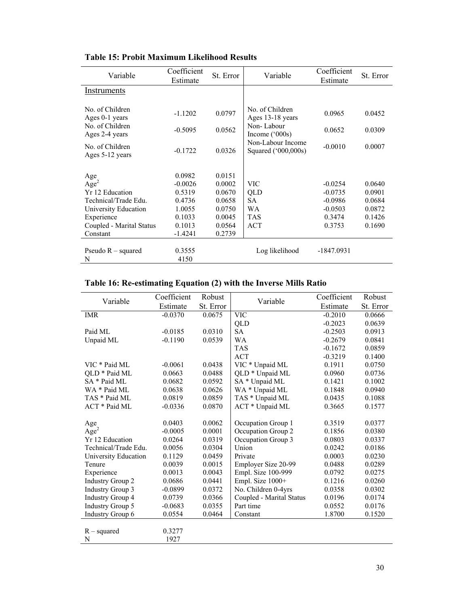| Variable                           | Coefficient<br>Estimate | St. Error | Variable                                 | Coefficient<br>Estimate | St. Error |
|------------------------------------|-------------------------|-----------|------------------------------------------|-------------------------|-----------|
| Instruments                        |                         |           |                                          |                         |           |
|                                    |                         |           |                                          |                         |           |
| No. of Children<br>Ages 0-1 years  | $-1.1202$               | 0.0797    | No. of Children<br>Ages 13-18 years      | 0.0965                  | 0.0452    |
| No. of Children<br>Ages 2-4 years  | $-0.5095$               | 0.0562    | Non-Labour<br>Income $(^{\circ}000s)$    | 0.0652                  | 0.0309    |
| No. of Children<br>Ages 5-12 years | $-0.1722$               | 0.0326    | Non-Labour Income<br>Squared ('000,000s) | $-0.0010$               | 0.0007    |
|                                    |                         |           |                                          |                         |           |
| Age                                | 0.0982                  | 0.0151    |                                          |                         |           |
| Age <sup>2</sup>                   | $-0.0026$               | 0.0002    | VIC                                      | $-0.0254$               | 0.0640    |
| Yr 12 Education                    | 0.5319                  | 0.0670    | QLD                                      | $-0.0735$               | 0.0901    |
| Technical/Trade Edu.               | 0.4736                  | 0.0658    | SA                                       | $-0.0986$               | 0.0684    |
| University Education               | 1.0055                  | 0.0750    | <b>WA</b>                                | $-0.0503$               | 0.0872    |
| Experience                         | 0.1033                  | 0.0045    | <b>TAS</b>                               | 0.3474                  | 0.1426    |
| Coupled - Marital Status           | 0.1013                  | 0.0564    | <b>ACT</b>                               | 0.3753                  | 0.1690    |
| Constant                           | -1.4241                 | 0.2739    |                                          |                         |           |
| Pseudo $R$ – squared<br>Ν          | 0.3555<br>4150          |           | Log likelihood                           | $-1847.0931$            |           |

# **Table 15: Probit Maximum Likelihood Results**

# **Table 16: Re-estimating Equation (2) with the Inverse Mills Ratio**

| Variable                | Coefficient | Robust    | Variable                 | Coefficient | Robust    |
|-------------------------|-------------|-----------|--------------------------|-------------|-----------|
|                         | Estimate    | St. Error |                          | Estimate    | St. Error |
| <b>IMR</b>              | $-0.0370$   | 0.0675    | <b>VIC</b>               | $-0.2010$   | 0.0666    |
|                         |             |           | QLD                      | $-0.2023$   | 0.0639    |
| Paid ML                 | $-0.0185$   | 0.0310    | <b>SA</b>                | $-0.2503$   | 0.0913    |
| Unpaid ML               | $-0.1190$   | 0.0539    | <b>WA</b>                | $-0.2679$   | 0.0841    |
|                         |             |           | <b>TAS</b>               | $-0.1672$   | 0.0859    |
|                         |             |           | <b>ACT</b>               | $-0.3219$   | 0.1400    |
| VIC * Paid ML           | $-0.0061$   | 0.0438    | VIC * Unpaid ML          | 0.1911      | 0.0750    |
| QLD * Paid ML           | 0.0663      | 0.0488    | QLD * Unpaid ML          | 0.0960      | 0.0736    |
| SA * Paid ML            | 0.0682      | 0.0592    | SA * Unpaid ML           | 0.1421      | 0.1002    |
| WA * Paid ML            | 0.0638      | 0.0626    | WA * Unpaid ML           | 0.1848      | 0.0940    |
| TAS * Paid ML           | 0.0819      | 0.0859    | TAS * Unpaid ML          | 0.0435      | 0.1088    |
| ACT * Paid ML           | $-0.0336$   | 0.0870    | ACT * Unpaid ML          | 0.3665      | 0.1577    |
|                         |             |           |                          |             |           |
| Age                     | 0.0403      | 0.0062    | Occupation Group 1       | 0.3519      | 0.0377    |
| Age <sup>2</sup>        | $-0.0005$   | 0.0001    | Occupation Group 2       | 0.1856      | 0.0380    |
| Yr 12 Education         | 0.0264      | 0.0319    | Occupation Group 3       | 0.0803      | 0.0337    |
| Technical/Trade Edu.    | 0.0056      | 0.0304    | Union                    | 0.0242      | 0.0186    |
| University Education    | 0.1129      | 0.0459    | Private                  | 0.0003      | 0.0230    |
| Tenure                  | 0.0039      | 0.0015    | Employer Size 20-99      | 0.0488      | 0.0289    |
| Experience              | 0.0013      | 0.0043    | Empl. Size 100-999       | 0.0792      | 0.0275    |
| <b>Industry Group 2</b> | 0.0686      | 0.0441    | Empl. Size 1000+         | 0.1216      | 0.0260    |
| <b>Industry Group 3</b> | $-0.0899$   | 0.0372    | No. Children 0-4yrs      | 0.0358      | 0.0302    |
| <b>Industry Group 4</b> | 0.0739      | 0.0366    | Coupled - Marital Status | 0.0196      | 0.0174    |
| <b>Industry Group 5</b> | $-0.0683$   | 0.0355    | Part time                | 0.0552      | 0.0176    |
| <b>Industry Group 6</b> | 0.0554      | 0.0464    | Constant                 | 1.8700      | 0.1520    |
|                         |             |           |                          |             |           |
| $R$ – squared           | 0.3277      |           |                          |             |           |
| N                       | 1927        |           |                          |             |           |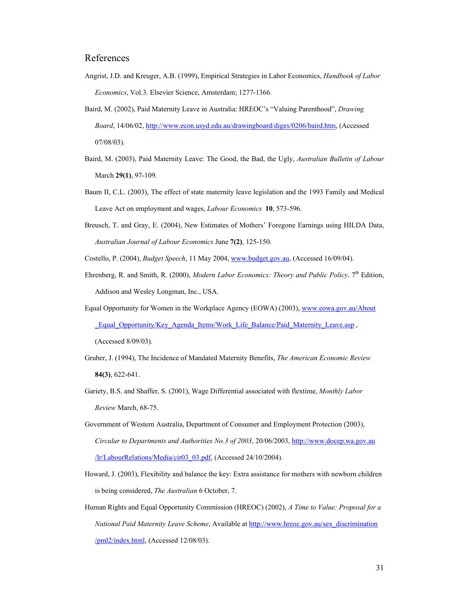### References

- Angrist, J.D. and Kreuger, A.B. (1999), Empirical Strategies in Labor Economics, *Handbook of Labor Economics*, Vol.3. Elsevier Science, Amsterdam; 1277-1366.
- Baird, M. (2002), Paid Maternity Leave in Australia: HREOC's "Valuing Parenthood", *Drawing Board*, 14/06/02, http://www.econ.usyd.edu.au/drawingboard/diges/0206/baird.htm, (Accessed 07/08/03).
- Baird, M. (2003), Paid Maternity Leave: The Good, the Bad, the Ugly, *Australian Bulletin of Labour*  March **29(1)**, 97-109.
- Baum II, C.L. (2003), The effect of state maternity leave legislation and the 1993 Family and Medical Leave Act on employment and wages, *Labour Economics* **10**, 573-596.
- Breusch, T. and Gray, E. (2004), New Estimates of Mothers' Foregone Earnings using HILDA Data, *Australian Journal of Labour Economics* June **7(2)**, 125-150.
- Costello, P. (2004), *Budget Speech*, 11 May 2004, www.budget.gov.au, (Accessed 16/09/04).
- Ehrenberg, R. and Smith, R. (2000), *Modern Labor Economics: Theory and Public Policy*. 7<sup>th</sup> Edition, Addison and Wesley Longman, Inc., USA.
- Equal Opportunity for Women in the Workplace Agency (EOWA) (2003), www.eowa.gov.au/About \_Equal\_Opportunity/Key\_Agenda\_Items/Work\_Life\_Balance/Paid\_Maternity\_Leave.asp, (Accessed 8/09/03).
- Gruber, J. (1994), The Incidence of Mandated Maternity Benefits, *The American Economic Review* **84(3)**, 622-641.
- Gariety, B.S. and Shaffer, S. (2001), Wage Differential associated with flextime, *Monthly Labor Review* March, 68-75.
- Government of Western Australia, Department of Consumer and Employment Protection (2003), *Circular to Departments and Authorities No.3 of 2003*, 20/06/2003, http://www.docep.wa.gov.au /lr/LabourRelations/Media/cir03\_03.pdf, (Accessed 24/10/2004).
- Howard, J. (2003), Flexibility and balance the key: Extra assistance for mothers with newborn children is being considered, *The Australian* 6 October, 7.
- Human Rights and Equal Opportunity Commission (HREOC) (2002), *A Time to Value: Proposal for a National Paid Maternity Leave Scheme*, Available at http://www.hreoc.gov.au/sex\_discrimination /pml2/index.html, (Accessed 12/08/03).